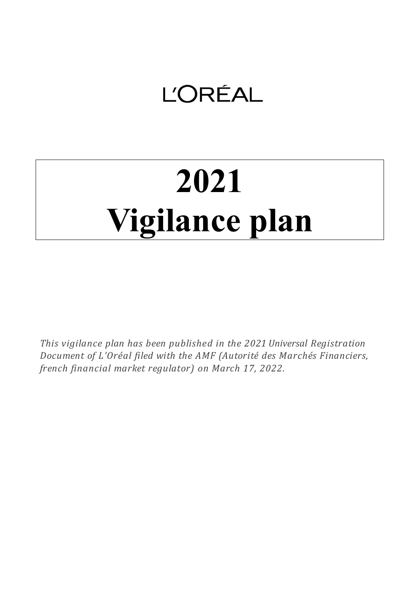# **L'ORÉAL**

# **2021 Vigilance plan**

*This vigilance plan has been published in the 2021 Universal Registration Document of L'Oréal filed with the AMF (Autorité des Marchés Financiers, french financial market regulator) on March 17, 2022.*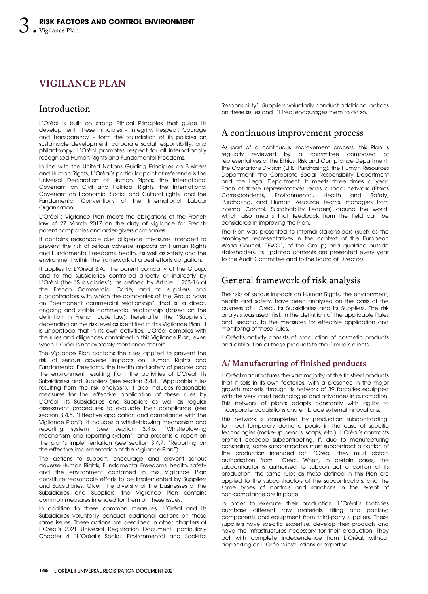# **VIGILANCE PLAN**

# Introduction

L'Oréal is built on strong Ethical Principles that guide its development. These Principles – Integrity, Respect, Courage and Transparency – form the foundation of its policies on sustainable development, corporate social responsibility, and philanthropy. L'Oréal promotes respect for all internationally recognised Human Rights and Fundamental Freedoms.

In line with the United Nations Guiding Principles on Business and Human Rights, L'Oréal's particular point of reference is the Universal Declaration of Human Rights, the International Covenant on Civil and Political Rights, the International Covenant on Economic, Social and Cultural rights, and the Fundamental Conventions of the International Labour Organisation.

L'Oréal's Vigilance Plan meets the obligations of the French law of 27 March 2017 on the duty of vigilance for French parent companies and order-givers companies.

It contains reasonable due diligence measures intended to prevent the risk of serious adverse impacts on Human Rights and Fundamental Freedoms, health, as well as safety and the environment within the framework of a best efforts obligation.

It applies to L'Oréal S.A., the parent company of the Group, and to the subsidiaries controlled directly or indirectly by L'Oréal (the "Subsidiaries"), as defined by Article L. 233-16 of the French Commercial Code, and to suppliers and subcontractors with which the companies of the Group have an "permanent commercial relationship", that is, a direct, ongoing and stable commercial relationship (based on the definition in French case law), hereinafter the "Suppliers", depending on the risk level as identified in this Vigilance Plan. It is understood that in its own activities, L'Oréal complies with the rules and diligences contained in this Vigilance Plan, even when L'Oréal is not expressly mentioned therein.

The Vigilance Plan contains the rules applied to prevent the risk of serious adverse impacts on Human Rights and Fundamental Freedoms, the health and safety of people and the environment resulting from the activities of L'Oréal, its Subsidiaries and Suppliers (see section 3.4.4. "Applicable rules resulting from the risk analysis"). It also includes reasonable measures for the effective application of these rules by L'Oréal, its Subsidiaries and Suppliers as well as regular assessment procedures to evaluate their compliance (see section 3.4.5. "Effective application and compliance with the Vigilance Plan"). It includes a whistleblowing mechanism and reporting system (see section 3.4.6. "Whistleblowing mechanism and reporting system") and presents a report on the plan's implementation (see section 3.4.7. "Reporting on the effective implementation of the Vigilance Plan").

The actions to support, encourage and prevent serious adverse Human Rights, Fundamental Freedoms, health, safety and the environment contained in this Vigilance Plan constitute reasonable efforts to be implemented by Suppliers and Subsidiaries. Given the diversity of the businesses of the Subsidiaries and Suppliers, the Vigilance Plan contains common measures intended for them on these issues.

In addition to these common measures, L'Oréal and its Subsidiaries voluntarily conduct additional actions on these same issues. These actions are described in other chapters of L'Oréal's 2021 Universal Registration Document, particularly Chapter 4 "L'Oréal's Social, Environmental and Societal Responsibility". Suppliers voluntarily conduct additional actions on these issues and L'Oréal encourages them to do so.

# A continuous improvement process

As part of a continuous improvement process, this Plan is regularly reviewed by a committee composed of representatives of the Ethics, Risk and Compliance Department, the Operations Division (EHS, Purchasing), the Human Resources Department, the Corporate Social Responsibility Department and the Legal Department. It meets three times a year. Each of these representatives leads a local network (Ethics<br>Correspondents, Environmental, Health and Safety, Environmental, Health and Safety, Purchasing, and Human Resource teams, managers from Internal Control, Sustainability Leaders) around the world, which also means that feedback from the field can be considered in improving the Plan.

The Plan was presented to internal stakeholders (such as the employee representatives in the context of the European Works Council, "EWC", of the Group) and qualified outside stakeholders. Its updated contents are presented every year to the Audit Committee and to the Board of Directors.

# General framework of risk analysis

The risks of serious impacts on Human Rights, the environment, health and safety, have been analysed on the basis of the business of L'Oréal, its Subsidiaries and its Suppliers. The risk analysis was used, first, in the definition of the applicable Rules and, second, to the measures for effective application and monitoring of these Rules.

L'Oréal's activity consists of production of cosmetic products and distribution of these products to the Group's clients.

# **A/ Manufacturing of finished products**

L'Oréal manufactures the vast majority of the finished products that it sells in its own factories, with a presence in the major growth markets through its network of 39 factories equipped with the very latest technologies and advances in automation. This network of plants adapts constantly with agility to incorporate acquisitions and embrace external innovations.

This network is completed by production subcontracting, to meet temporary demand peaks in the case of specific technologies (make-up pencils, soaps, etc.). L'Oréal's contracts prohibit cascade subcontracting. If, due to manufacturing constraints, some subcontractors must subcontract a portion of the production intended for L'Oréal, they must obtain authorisation from L'Oréal. When, in certain cases, the subcontractor is authorised to subcontract a portion of its production, the same rules as those defined in this Plan are applied to the subcontractors of the subcontractors, and the same types of controls and sanctions in the event of non‑compliance are in place.

In order to execute their production, L'Oréal's factories purchase different raw materials, filling and packing components and equipment from third-party suppliers. These suppliers have specific expertise, develop their products and have the infrastructures necessary for their production. They act with complete independence from L'Oréal, without depending on L'Oréal's instructions or expertise.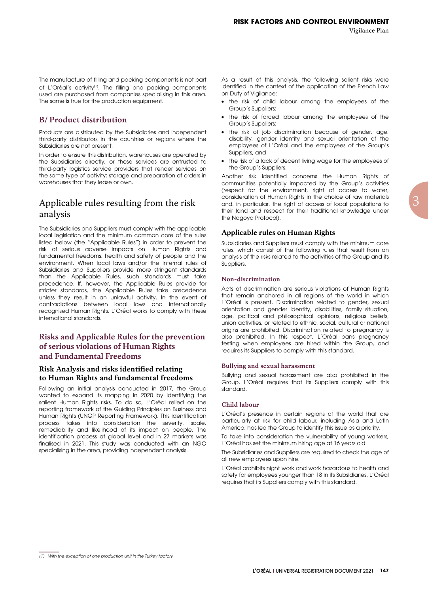The manufacture of filling and packing components is not part of L'Oréal's activity<sup>(1)</sup>. The filling and packing components used are purchased from companies specialising in this area. The same is true for the production equipment.

# **B/ Product distribution**

Products are distributed by the Subsidiaries and independent third-party distributors in the countries or regions where the Subsidiaries are not present.

In order to ensure this distribution, warehouses are operated by the Subsidiaries directly, or these services are entrusted to third-party logistics service providers that render services on the same type of activity: storage and preparation of orders in warehouses that they lease or own.

# Applicable rules resulting from the risk analysis

The Subsidiaries and Suppliers must comply with the applicable local legislation and the minimum common core of the rules listed below (the "Applicable Rules") in order to prevent the risk of serious adverse impacts on Human Rights and fundamental freedoms, health and safety of people and the environment. When local laws and/or the internal rules of Subsidiaries and Suppliers provide more stringent standards than the Applicable Rules, such standards must take precedence. If, however, the Applicable Rules provide for stricter standards, the Applicable Rules take precedence unless they result in an unlawful activity. In the event of contradictions between local laws and internationally recognised Human Rights, L'Oréal works to comply with these international standards.

# **Risks and Applicable Rules for the prevention of serious violations of Human Rights and Fundamental Freedoms**

#### **Risk Analysis and risks identified relating to Human Rights and fundamental freedoms**

Following an initial analysis conducted in 2017, the Group wanted to expand its mapping in 2020 by identifying the salient Human Rights risks. To do so, L'Oréal relied on the reporting framework of the Guiding Principles on Business and Human Rights (UNGP Reporting Framework). This identification process takes into consideration the severity, scale, remediability and likelihood of its impact on people. The identification process at global level and in 27 markets was finalised in 2021. This study was conducted with an NGO specialising in the area, providing independent analysis.

As a result of this analysis, the following salient risks were identified in the context of the application of the French Law on Duty of Vigilance:

- the risk of child labour among the employees of the Group's Suppliers;
- the risk of forced labour among the employees of the Group's Suppliers;
- the risk of job discrimination because of gender, age, disability, gender identity and sexual orientation of the employees of L'Oréal and the employees of the Group's Suppliers; and
- the risk of a lack of decent living wage for the employees of the Group's Suppliers.

Another risk identified concerns the Human Rights of communities potentially impacted by the Group's activities (respect for the environment, right of access to water, consideration of Human Rights in the choice of raw materials and, in particular, the right of access of local populations to their land and respect for their traditional knowledge under the Nagoya Protocol).

#### **Applicable rules on Human Rights**

Subsidiaries and Suppliers must comply with the minimum core rules, which consist of the following rules that result from an analysis of the risks related to the activities of the Group and its Suppliers.

#### **Non-discrimination**

Acts of discrimination are serious violations of Human Rights that remain anchored in all regions of the world in which L'Oréal is present. Discrimination related to gender, sexual orientation and gender identity, disabilities, family situation, age, political and philosophical opinions, religious beliefs, union activities, or related to ethnic, social, cultural or national origins are prohibited. Discrimination related to pregnancy is also prohibited. In this respect, L'Oréal bans pregnancy testing when employees are hired within the Group, and requires its Suppliers to comply with this standard.

#### **Bullying and sexual harassment**

Bullying and sexual harassment are also prohibited in the Group. L'Oréal requires that its Suppliers comply with this standard.

#### **Child labour**

L'Oréal's presence in certain regions of the world that are particularly at risk for child labour, including Asia and Latin America, has led the Group to identify this issue as a priority.

To take into consideration the vulnerability of young workers, L'Oréal has set the minimum hiring age at 16 years old.

The Subsidiaries and Suppliers are required to check the age of all new employees upon hire.

L'Oréal prohibits night work and work hazardous to health and safety for employees younger than 18 in its Subsidiaries. L'Oréal requires that its Suppliers comply with this standard.

<sup>(1)</sup> With the exception of one production unit in the Turkey factory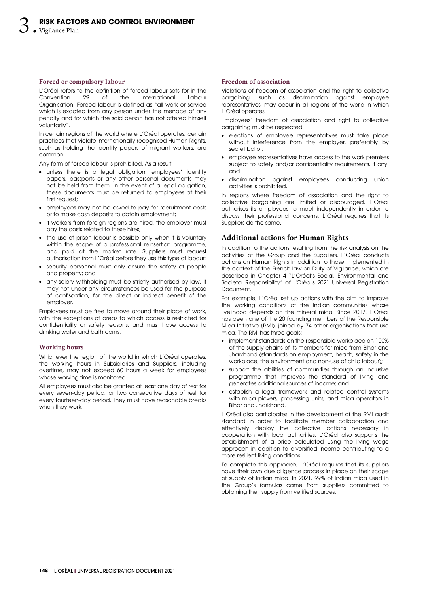#### **Forced or compulsory labour**

L'Oréal refers to the definition of forced labour sets for in the<br>Convention 29 of the International Labour International Labour Organisation. Forced labour is defined as "all work or service which is exacted from any person under the menace of any penalty and for which the said person has not offered himself voluntarily".

In certain regions of the world where L'Oréal operates, certain practices that violate internationally recognised Human Rights, such as holding the identity papers of migrant workers, are common.

Any form of forced labour is prohibited. As a result:

- unless there is a legal obligation, employees' identity papers, passports or any other personal documents may not be held from them. In the event of a legal obligation, these documents must be returned to employees at their first request;
- employees may not be asked to pay for recruitment costs or to make cash deposits to obtain employment;
- if workers from foreign regions are hired, the employer must pay the costs related to these hires;
- the use of prison labour is possible only when it is voluntary within the scope of a professional reinsertion programme, and paid at the market rate. Suppliers must request authorisation from L'Oréal before they use this type of labour;
- security personnel must only ensure the safety of people and property; and
- any salary withholding must be strictly authorised by law. It may not under any circumstances be used for the purpose of confiscation, for the direct or indirect benefit of the employer.

Employees must be free to move around their place of work, with the exceptions of areas to which access is restricted for confidentiality or safety reasons, and must have access to drinking water and bathrooms.

#### **Working hours**

Whichever the region of the world in which L'Oréal operates, the working hours in Subsidiaries and Suppliers, including overtime, may not exceed 60 hours a week for employees whose working time is monitored.

All employees must also be granted at least one day of rest for every seven-day period, or two consecutive days of rest for every fourteen-day period. They must have reasonable breaks when they work.

#### **Freedom of association**

Violations of freedom of association and the right to collective bargaining, such as discrimination against employee representatives, may occur in all regions of the world in which L'Oréal operates.

Employees' freedom of association and right to collective bargaining must be respected:

- elections of employee representatives must take place without interference from the employer, preferably by secret ballot;
- employee representatives have access to the work premises subject to safety and/or confidentiality requirements, if any; and
- discrimination against employees conducting union activities is prohibited.

In regions where freedom of association and the right to collective bargaining are limited or discouraged, L'Oréal authorises its employees to meet independently in order to discuss their professional concerns. L'Oréal requires that its Suppliers do the same.

#### **Additional actions for Human Rights**

In addition to the actions resulting from the risk analysis on the activities of the Group and the Suppliers, L'Oréal conducts actions on Human Rights in addition to those implemented in the context of the French law on Duty of Vigilance, which are described in Chapter 4 "L'Oréal's Social, Environmental and Societal Responsibility" of L'Oréal's 2021 Universal Registration Document.

For example, L'Oréal set up actions with the aim to improve the working conditions of the Indian communities whose livelihood depends on the mineral mica. Since 2017, L'Oréal has been one of the 20 founding members of the Responsible Mica Initiative (RMI), joined by 74 other organisations that use mica. The RMI has three goals:

- implement standards on the responsible workplace on 100% of the supply chains of its members for mica from Bihar and Jharkhand (standards on employment, health, safety in the workplace, the environment and non-use of child labour);
- support the abilities of communities through an inclusive programme that improves the standard of living and generates additional sources of income; and
- establish a legal framework and related control systems with mica pickers, processing units, and mica operators in Bihar and Jharkhand.

L'Oréal also participates in the development of the RMI audit standard in order to facilitate member collaboration and effectively deploy the collective actions necessary in cooperation with local authorities. L'Oréal also supports the establishment of a price calculated using the living wage approach in addition to diversified income contributing to a more resilient living conditions.

To complete this approach, L'Oréal requires that its suppliers have their own due diligence process in place on their scope of supply of Indian mica. In 2021, 99% of Indian mica used in the Group's formulas came from suppliers committed to obtaining their supply from verified sources.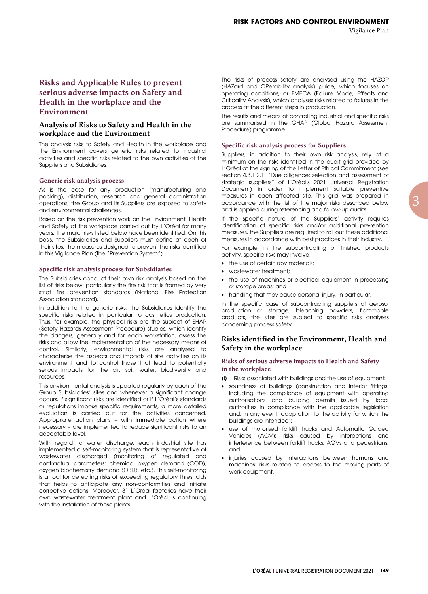# **Risks and Applicable Rules to prevent serious adverse impacts on Safety and Health in the workplace and the Environment**

#### **Analysis of Risks to Safety and Health in the workplace and the Environment**

The analysis risks to Safety and Health in the workplace and the Environment covers generic risks related to industrial activities and specific risks related to the own activities of the Suppliers and Subsidiaries.

#### **Generic risk analysis process**

As is the case for any production (manufacturing and packing), distribution, research and general administration operations, the Group and its Suppliers are exposed to safety and environmental challenges.

Based on the risk prevention work on the Environment, Health and Safety at the workplace carried out by L'Oréal for many years, the major risks listed below have been identified. On this basis, the Subsidiaries and Suppliers must define at each of their sites, the measures designed to prevent the risks identified in this Vigilance Plan (the "Prevention System").

#### **Specific risk analysis process for Subsidiaries**

The Subsidiaries conduct their own risk analysis based on the list of risks below, particularly the fire risk that is framed by very strict fire prevention standards (National Fire Protection Association standard).

In addition to the generic risks, the Subsidiaries identify the specific risks related in particular to cosmetics production. Thus, for example, the physical risks are the subject of SHAP (Safety Hazards Assessment Procedure) studies, which identify the dangers, generally and for each workstation, assess the risks and allow the implementation of the necessary means of control. Similarly, environmental risks are analysed to characterise the aspects and impacts of site activities on its environment and to control those that lead to potentially serious impacts for the air, soil, water, biodiversity and resources.

This environmental analysis is updated regularly by each of the Group Subsidiaries' sites and whenever a significant change occurs. If significant risks are identified or if L'Oréal's standards or regulations impose specific requirements, a more detailed evaluation is carried out for the activities concerned. Appropriate action plans – with immediate action where necessary – are implemented to reduce significant risks to an acceptable level.

With regard to water discharge, each industrial site has implemented a self-monitoring system that is representative of wastewater discharged (monitoring of regulated and contractual parameters: chemical oxygen demand (COD), oxygen biochemistry demand (OBD), etc.). This self-monitoring is a tool for detecting risks of exceeding regulatory thresholds that helps to anticipate any non-conformities and initiate corrective actions. Moreover, 31 L'Oréal factories have their own wastewater treatment plant and L'Oréal is continuing with the installation of these plants.

The risks of process safety are analysed using the HAZOP (HAZard and OPerability analysis) guide, which focuses on operating conditions, or FMECA (Failure Mode, Effects and Criticality Analysis), which analyses risks related to failures in the process at the different steps in production.

The results and means of controlling industrial and specific risks are summarised in the GHAP (Global Hazard Assessment Procedure) programme.

#### **Specific risk analysis process for Suppliers**

Suppliers, in addition to their own risk analysis, rely at a minimum on the risks identified in the audit grid provided by L'Oréal at the signing of the Letter of Ethical Commitment (see section 4.3.1.2.1. "Due diligence: selection and assessment of strategic suppliers" of L'Oréal's 2021 Universal Registration Document) in order to implement suitable preventive measures in each affected site. This grid was prepared in accordance with the list of the major risks described below and is applied during referencing and follow-up audits.

If the specific nature of the Suppliers' activity requires identification of specific risks and/or additional prevention measures, the Suppliers are required to roll out these additional measures in accordance with best practices in their industry.

For example, in the subcontracting of finished products activity, specific risks may involve:

- the use of certain raw materials;
- wastewater treatment:
- the use of machines or electrical equipment in processing or storage areas; and
- handling that may cause personal injury, in particular.

In the specific case of subcontracting suppliers of aerosol production or storage, bleaching powders, flammable products, the sites are subject to specific risks analyses concerning process safety.

#### **Risks identified in the Environment, Health and Safety in the workplace**

#### **Risks of serious adverse impacts to Health and Safety in the workplace**

- (i) Risks associated with buildings and the use of equipment:
- soundness of buildings (construction and interior fittings, including the compliance of equipment with operating authorisations and building permits issued by local authorities in compliance with the applicable legislation and, in any event, adaptation to the activity for which the buildings are intended);
- use of motorised forklift trucks and Automatic Guided Vehicles (AGV): risks caused by interactions and interference between forklift trucks, AGVs and pedestrians; and
- injuries caused by interactions between humans and machines: risks related to access to the moving parts of work equipment.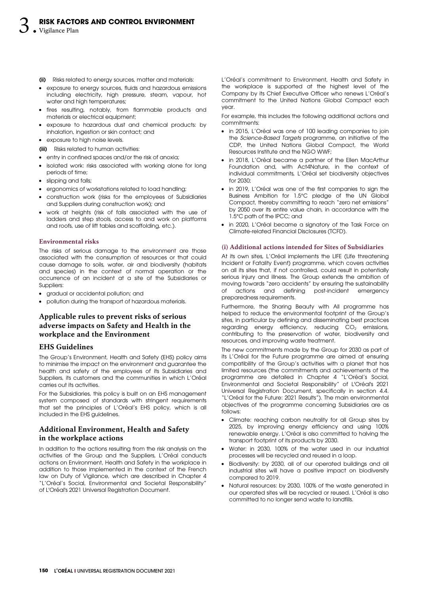- (ii) Risks related to energy sources, matter and materials:
- exposure to energy sources, fluids and hazardous emissions including electricity, high pressure, steam, vapour, hot water and high temperatures;
- fires resulting, notably, from flammable products and materials or electrical equipment;
- exposure to hazardous dust and chemical products: by inhalation, ingestion or skin contact; and
- exposure to high noise levels.
- (iii) Risks related to human activities:
- entry in confined spaces and/or the risk of anoxia;
- isolated work: risks associated with working alone for long periods of time;
- slipping and falls;
- ergonomics of workstations related to load handling;
- construction work (risks for the employees of Subsidiaries and Suppliers during construction work); and
- work at heights (risk of falls associated with the use of ladders and step stools, access to and work on platforms and roofs, use of lift tables and scaffolding, etc.).

#### **Environmental risks**

The risks of serious damage to the environment are those associated with the consumption of resources or that could cause damage to soils, water, air and biodiversity (habitats and species) in the context of normal operation or the occurrence of an incident at a site of the Subsidiaries or Suppliers:

- gradual or accidental pollution; and
- pollution during the transport of hazardous materials.

# **Applicable rules to prevent risks of serious adverse impacts on Safety and Health in the workplace and the Environment**

#### **EHS Guidelines**

The Group's Environment, Health and Safety (EHS) policy aims to minimise the impact on the environment and guarantee the health and safety of the employees of its Subsidiaries and Suppliers, its customers and the communities in which L'Oréal carries out its activities.

For the Subsidiaries, this policy is built on an EHS management system composed of standards with stringent requirements that set the principles of L'Oréal's EHS policy, which is all included in the EHS guidelines.

# **Additional Environment, Health and Safety in the workplace actions**

In addition to the actions resulting from the risk analysis on the activities of the Group and the Suppliers, L'Oréal conducts actions on Environment, Health and Safety in the workplace in addition to those implemented in the context of the French law on Duty of Vigilance, which are described in Chapter 4 "L'Oréal's Social, Environmental and Societal Responsibility" of L'Oréal's 2021 Universal Registration Document.

L'Oréal's commitment to Environment, Health and Safety in the workplace is supported at the highest level of the Company by its Chief Executive Officer who renews L'Oréal's commitment to the United Nations Global Compact each year.

For example, this includes the following additional actions and commitments:

- in 2015, L'Oréal was one of 100 leading companies to join the Science-Based Targets programme, an initiative of the CDP, the United Nations Global Compact, the World Resources Institute and the NGO WWF;
- in 2018, L'Oréal became a partner of the Ellen MacArthur Foundation and, with Act4Nature, in the context of individual commitments, L'Oréal set biodiversity objectives for 2030;
- in 2019, L'Oréal was one of the first companies to sign the Business Ambition for 1.5°C pledge of the UN Global Compact, thereby committing to reach "zero net emissions" by 2050 over its entire value chain, in accordance with the 1.5°C path of the IPCC; and
- in 2020, L'Oréal became a signatory of the Task Force on Climate-related Financial Disclosures (TCFD).

#### **(i) Additional actions intended for Sites of Subsidiaries**

At its own sites, L'Oréal implements the LIFE (Life threatening Incident or Fatality Event) programme, which covers activities on all its sites that, if not controlled, could result in potentially serious injury and illness. The Group extends the ambition of moving towards "zero accidents" by ensuring the sustainability of actions and defining post-incident emergency preparedness requirements.

Furthermore, the Sharing Beauty with All programme has helped to reduce the environmental footprint of the Group's sites, in particular by defining and disseminating best practices regarding energy efficiency, reducing  $CO<sub>2</sub>$  emissions, contributing to the preservation of water, biodiversity and resources, and improving waste treatment.

The new commitments made by the Group for 2030 as part of its L'Oréal for the Future programme are aimed at ensuring compatibility of the Group's activities with a planet that has limited resources (the commitments and achievements of the programme are detailed in Chapter 4 "L'Oréal's Social, Environmental and Societal Responsibility" of L'Oréal's 2021 Universal Registration Document, specifically in section 4.4. "L'Oréal for the Future: 2021 Results"). The main environmental objectives of the programme concerning Subsidiaries are as follows:

- Climate: reaching carbon neutrality for all Group sites by 2025, by improving energy efficiency and using 100% renewable energy. L'Oréal is also committed to halving the transport footprint of its products by 2030.
- Water: in 2030, 100% of the water used in our industrial processes will be recycled and reused in a loop.
- Biodiversity: by 2030, all of our operated buildings and all industrial sites will have a positive impact on biodiversity compared to 2019.
- Natural resources: by 2030, 100% of the waste generated in our operated sites will be recycled or reused. L'Oréal is also committed to no longer send waste to landfills.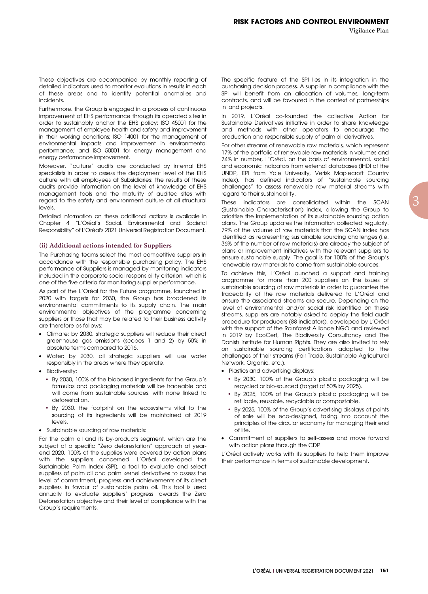These objectives are accompanied by monthly reporting of detailed indicators used to monitor evolutions in results in each of these areas and to identify potential anomalies and incidents.

Furthermore, the Group is engaged in a process of continuous improvement of EHS performance through its operated sites in order to sustainably anchor the EHS policy: ISO 45001 for the management of employee health and safety and improvement in their working conditions; ISO 14001 for the management of environmental impacts and improvement in environmental performance; and ISO 50001 for energy management and energy performance improvement.

Moreover, "culture" audits are conducted by internal EHS specialists in order to assess the deployment level of the EHS culture with all employees at Subsidiaries: the results of these audits provide information on the level of knowledge of EHS management tools and the maturity of audited sites with regard to the safety and environment culture at all structural levels.

Detailed information on these additional actions is available in Chapter 4 "L'Oréal's Social, Environmental and Societal Responsibility" of L'Oréal's 2021 Universal Registration Document.

#### **(ii) Additional actions intended for Suppliers**

The Purchasing teams select the most competitive suppliers in accordance with the responsible purchasing policy. The EHS performance of Suppliers is managed by monitoring indicators included in the corporate social responsibility criterion, which is one of the five criteria for monitoring supplier performance.

As part of the L'Oréal for the Future programme, launched in 2020 with targets for 2030, the Group has broadened its environmental commitments to its supply chain. The main environmental objectives of the programme concerning suppliers or those that may be related to their business activity are therefore as follows:

- Climate: by 2030, strategic suppliers will reduce their direct greenhouse gas emissions (scopes 1 and 2) by 50% in absolute terms compared to 2016.
- Water: by 2030, all strategic suppliers will use water responsibly in the areas where they operate.
- Biodiversity:
	- By 2030, 100% of the biobased ingredients for the Group's formulas and packaging materials will be traceable and will come from sustainable sources, with none linked to deforestation.
	- By 2030, the footprint on the ecosystems vital to the sourcing of its ingredients will be maintained at 2019 levels.
- Sustainable sourcing of raw materials:

For the palm oil and its by-products segment, which are the subject of a specific "Zero deforestation" approach at yearend 2020, 100% of the supplies were covered by action plans with the suppliers concerned. L'Oréal developed the Sustainable Palm Index (SPI), a tool to evaluate and select suppliers of palm oil and palm kernel derivatives to assess the level of commitment, progress and achievements of its direct suppliers in favour of sustainable palm oil. This tool is used annually to evaluate suppliers' progress towards the Zero Deforestation objective and their level of compliance with the Group's requirements.

The specific feature of the SPI lies in its integration in the purchasing decision process. A supplier in compliance with the SPI will benefit from an allocation of volumes, long-term contracts, and will be favoured in the context of partnerships in land projects.

In 2019, L'Oréal co-founded the collective Action for Sustainable Derivatives initiative in order to share knowledge and methods with other operators to encourage the production and responsible supply of palm oil derivatives.

For other streams of renewable raw materials, which represent 17% of the portfolio of renewable raw materials in volumes and 74% in number, L'Oréal, on the basis of environmental, social and economic indicators from external databases (IHDI of the UNDP, EPI from Yale University, Verisk Maplecroft Country Index), has defined indicators of "sustainable sourcing challenges" to assess renewable raw material streams with regard to their sustainability.

These indicators are consolidated within the SCAN (Sustainable Characterisation) index, allowing the Group to prioritise the implementation of its sustainable sourcing action plans. The Group updates the information collected regularly. 79% of the volume of raw materials that the SCAN index has identified as representing sustainable sourcing challenges (i.e. 36% of the number of raw materials) are already the subject of plans or improvement initiatives with the relevant suppliers to ensure sustainable supply. The goal is for 100% of the Group's renewable raw materials to come from sustainable sources.

To achieve this, L'Oréal launched a support and training programme for more than 200 suppliers on the issues of sustainable sourcing of raw materials in order to guarantee the traceability of the raw materials delivered to L'Oréal and ensure the associated streams are secure. Depending on the level of environmental and/or social risk identified on these streams, suppliers are notably asked to deploy the field audit procedure for producers (88 indicators), developed by L'Oréal with the support of the Rainforest Alliance NGO and reviewed in 2019 by EcoCert, The Biodiversity Consultancy and The Danish Institute for Human Rights. They are also invited to rely on sustainable sourcing certifications adapted to the challenges of their streams (Fair Trade, Sustainable Agricultural Network, Organic, etc.).

- Plastics and advertising displays:
	- By 2030, 100% of the Group's plastic packaging will be recycled or bio-sourced (target of 50% by 2025).
	- By 2025, 100% of the Group's plastic packaging will be refillable, reusable, recyclable or compostable.
	- By 2025, 100% of the Group's advertising displays at points of sale will be eco-designed, taking into account the principles of the circular economy for managing their end of life.
- Commitment of suppliers to self-assess and move forward with action plans through the CDP.

L'Oréal actively works with its suppliers to help them improve their performance in terms of sustainable development.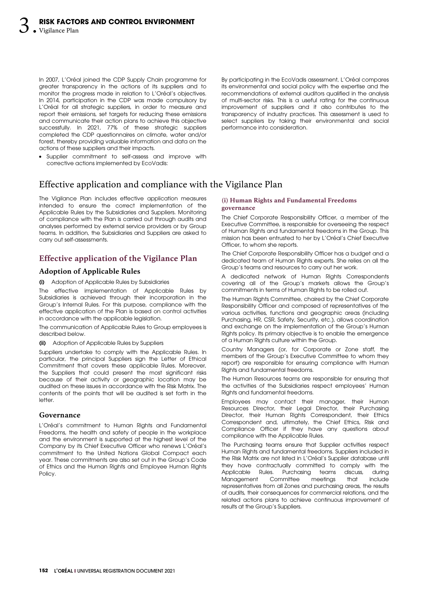In 2007, L'Oréal joined the CDP Supply Chain programme for greater transparency in the actions of its suppliers and to monitor the progress made in relation to L'Oréal's objectives. In 2014, participation in the CDP was made compulsory by L'Oréal for all strategic suppliers, in order to measure and report their emissions, set targets for reducing these emissions and communicate their action plans to achieve this objective successfully. In 2021, 77% of these strategic suppliers completed the CDP questionnaires on climate, water and/or forest, thereby providing valuable information and data on the actions of these suppliers and their impacts.

• Supplier commitment to self-assess and improve with corrective actions implemented by EcoVadis:

By participating in the EcoVadis assessment, L'Oréal compares its environmental and social policy with the expertise and the recommendations of external auditors qualified in the analysis of multi-sector risks. This is a useful rating for the continuous improvement of suppliers and it also contributes to the transparency of industry practices. This assessment is used to select suppliers by taking their environmental and social performance into consideration.

# Effective application and compliance with the Vigilance Plan

The Vigilance Plan includes effective application measures intended to ensure the correct implementation of the Applicable Rules by the Subsidiaries and Suppliers. Monitoring of compliance with the Plan is carried out through audits and analyses performed by external service providers or by Group teams. In addition, the Subsidiaries and Suppliers are asked to carry out self-assessments.

# **Effective application of the Vigilance Plan**

#### **Adoption of Applicable Rules**

#### (i) Adoption of Applicable Rules by Subsidiaries

The effective implementation of Applicable Rules by Subsidiaries is achieved through their incorporation in the Group's Internal Rules. For this purpose, compliance with the effective application of the Plan is based on control activities in accordance with the applicable legislation.

The communication of Applicable Rules to Group employees is described below.

(ii) Adoption of Applicable Rules by Suppliers

Suppliers undertake to comply with the Applicable Rules. In particular, the principal Suppliers sign the Letter of Ethical Commitment that covers these applicable Rules. Moreover, the Suppliers that could present the most significant risks because of their activity or geographic location may be audited on these issues in accordance with the Risk Matrix. The contents of the points that will be audited is set forth in the letter.

#### **Governance**

L'Oréal's commitment to Human Rights and Fundamental Freedoms, the health and safety of people in the workplace and the environment is supported at the highest level of the Company by its Chief Executive Officer who renews L'Oréal's commitment to the United Nations Global Compact each year. These commitments are also set out in the Group's Code of Ethics and the Human Rights and Employee Human Rights Policy.

#### **(i) Human Rights and Fundamental Freedoms governance**

The Chief Corporate Responsibility Officer, a member of the Executive Committee, is responsible for overseeing the respect of Human Rights and fundamental freedoms in the Group. This mission has been entrusted to her by L'Oréal's Chief Executive Officer, to whom she reports.

The Chief Corporate Responsibility Officer has a budget and a dedicated team of Human Rights experts. She relies on all the Group's teams and resources to carry out her work.

A dedicated network of Human Rights Correspondents covering all of the Group's markets allows the Group's commitments in terms of Human Rights to be rolled out.

The Human Rights Committee, chaired by the Chief Corporate Responsibility Officer and composed of representatives of the various activities, functions and geographic areas (including Purchasing, HR, CSR, Safety, Security, etc.), allows coordination and exchange on the implementation of the Group's Human Rights policy. Its primary objective is to enable the emergence of a Human Rights culture within the Group.

Country Managers (or, for Corporate or Zone staff, the members of the Group's Executive Committee to whom they report) are responsible for ensuring compliance with Human Rights and fundamental freedoms.

The Human Resources teams are responsible for ensuring that the activities of the Subsidiaries respect employees' Human Rights and fundamental freedoms.

Employees may contact their manager, their Human Resources Director, their Legal Director, their Purchasing Director, their Human Rights Correspondent, their Ethics Correspondent and, ultimately, the Chief Ethics, Risk and Compliance Officer if they have any questions about compliance with the Applicable Rules.

The Purchasing teams ensure that Supplier activities respect Human Rights and fundamental freedoms. Suppliers included in the Risk Matrix are not listed in L'Oréal's Supplier database until they have contractually committed to comply with the Applicable Rules. Purchasing teams discuss, during Management Committee meetings that include representatives from all Zones and purchasing areas, the results of audits, their consequences for commercial relations, and the related actions plans to achieve continuous improvement of results at the Group's Suppliers.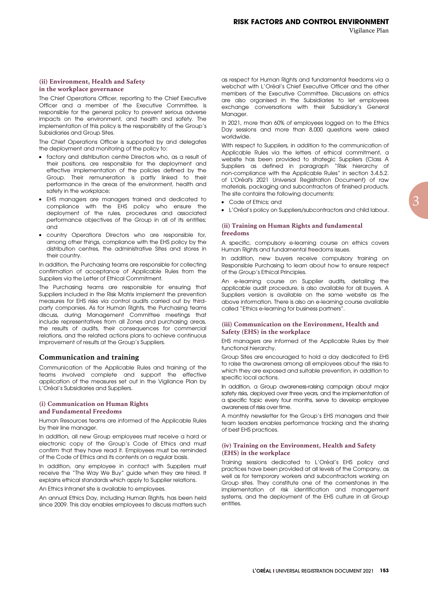#### **(ii) Environment, Health and Safety in the workplace governance**

The Chief Operations Officer, reporting to the Chief Executive Officer and a member of the Executive Committee, is responsible for the general policy to prevent serious adverse impacts on the environment, and health and safety. The implementation of this policy is the responsibility of the Group's Subsidiaries and Group Sites.

The Chief Operations Officer is supported by and delegates the deployment and monitoring of the policy to:

- factory and distribution centre Directors who, as a result of their positions, are responsible for the deployment and effective implementation of the policies defined by the Group. Their remuneration is partly linked to their performance in the areas of the environment, health and safety in the workplace;
- EHS managers are managers trained and dedicated to compliance with the EHS policy who ensure the deployment of the rules, procedures and associated performance objectives of the Group in all of its entities; and
- country Operations Directors who are responsible for, among other things, compliance with the EHS policy by the distribution centres, the administrative Sites and stores in their country.

In addition, the Purchasing teams are responsible for collecting confirmation of acceptance of Applicable Rules from the Suppliers via the Letter of Ethical Commitment.

The Purchasing teams are responsible for ensuring that Suppliers included in the Risk Matrix implement the prevention measures for EHS risks via control audits carried out by thirdparty companies. As for Human Rights, the Purchasing teams discuss, during Management Committee meetings that include representatives from all Zones and purchasing areas, the results of audits, their consequences for commercial relations, and the related actions plans to achieve continuous improvement of results at the Group's Suppliers.

#### **Communication and training**

Communication of the Applicable Rules and training of the teams involved complete and support the effective application of the measures set out in the Vigilance Plan by L'Oréal's Subsidiaries and Suppliers.

#### **(i) Communication on Human Rights and Fundamental Freedoms**

Human Resources teams are informed of the Applicable Rules by their line manager.

In addition, all new Group employees must receive a hard or electronic copy of the Group's Code of Ethics and must confirm that they have read it. Employees must be reminded of the Code of Ethics and its contents on a regular basis.

In addition, any employee in contact with Suppliers must receive the "The Way We Buy" guide when they are hired. It explains ethical standards which apply to Supplier relations.

An Ethics Intranet site is available to employees.

An annual Ethics Day, including Human Rights, has been held since 2009. This day enables employees to discuss matters such as respect for Human Rights and fundamental freedoms via a webchat with L'Oréal's Chief Executive Officer and the other members of the Executive Committee. Discussions on ethics are also organised in the Subsidiaries to let employees exchange conversations with their Subsidiary's General Manager.

In 2021, more than 60% of employees logged on to the Ethics Day sessions and more than 8,000 questions were asked worldwide.

With respect to Suppliers, in addition to the communication of Applicable Rules via the letters of ethical commitment, a website has been provided to strategic Suppliers (Class A Suppliers as defined in paragraph "Risk hierarchy of non-compliance with the Applicable Rules" in section 3.4.5.2. of L'Oréal's 2021 Universal Registration Document) of raw materials, packaging and subcontractors of finished products. The site contains the following documents:

- Code of Ethics; and
- L'Oréal's policy on Suppliers/subcontractors and child labour.

#### **(ii) Training on Human Rights and fundamental freedoms**

A specific, compulsory e-learning course on ethics covers Human Rights and fundamental freedoms issues.

In addition, new buyers receive compulsory training on Responsible Purchasing to learn about how to ensure respect of the Group's Ethical Principles.

An e-learning course on Supplier audits, detailing the applicable audit procedure, is also available for all buyers. A Suppliers version is available on the same website as the above information. There is also an e-learning course available called "Ethics e-learning for business partners".

#### **(iii) Communication on the Environment, Health and Safety (EHS) in the workplace**

EHS managers are informed of the Applicable Rules by their functional hierarchy.

Group Sites are encouraged to hold a day dedicated to EHS to raise the awareness among all employees about the risks to which they are exposed and suitable prevention, in addition to specific local actions.

In addition, a Group awareness-raising campaign about major safety risks, deployed over three years, and the implementation of a specific topic every four months, serve to develop employee awareness of risks over time.

A monthly newsletter for the Group's EHS managers and their team leaders enables performance tracking and the sharing of best EHS practices.

#### **(iv) Training on the Environment, Health and Safety (EHS) in the workplace**

Training sessions dedicated to L'Oréal's EHS policy and practices have been provided at all levels of the Company, as well as for temporary workers and subcontractors working on Group sites. They constitute one of the cornerstones in the implementation of risk identification and management systems, and the deployment of the EHS culture in all Group entities.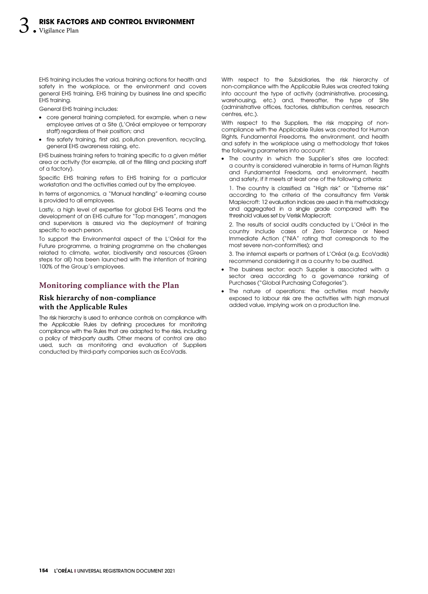EHS training includes the various training actions for health and safety in the workplace, or the environment and covers general EHS training, EHS training by business line and specific EHS training.

General EHS training includes:

- core general training completed, for example, when a new employee arrives at a Site (L'Oréal employee or temporary staff) regardless of their position; and
- fire safety training, first aid, pollution prevention, recycling, general EHS awareness raising, etc.

EHS business training refers to training specific to a given métier area or activity (for example, all of the filling and packing staff of a factory).

Specific EHS training refers to EHS training for a particular workstation and the activities carried out by the employee.

In terms of ergonomics, a "Manual handling" e-learning course is provided to all employees.

Lastly, a high level of expertise for global EHS Teams and the development of an EHS culture for "Top managers", managers and supervisors is assured via the deployment of training specific to each person.

To support the Environmental aspect of the L'Oréal for the Future programme, a training programme on the challenges related to climate, water, biodiversity and resources (Green steps for all) has been launched with the intention of training 100% of the Group's employees.

# **Monitoring compliance with the Plan**

# **Risk hierarchy of non-compliance with the Applicable Rules**

The risk hierarchy is used to enhance controls on compliance with the Applicable Rules by defining procedures for monitoring compliance with the Rules that are adapted to the risks, including a policy of third-party audits. Other means of control are also used, such as monitoring and evaluation of Suppliers conducted by third-party companies such as EcoVadis.

With respect to the Subsidiaries, the risk hierarchy of non‑compliance with the Applicable Rules was created taking into account the type of activity (administrative, processing, warehousing, etc.) and, thereafter, the type of Site (administrative offices, factories, distribution centres, research centres, etc.).

With respect to the Suppliers, the risk mapping of noncompliance with the Applicable Rules was created for Human Rights, Fundamental Freedoms, the environment, and health and safety in the workplace using a methodology that takes the following parameters into account:

• The country in which the Supplier's sites are located: a country is considered vulnerable in terms of Human Rights and Fundamental Freedoms, and environment, health and safety, if it meets at least one of the following criteria:

1. The country is classified as "High risk" or "Extreme risk" according to the criteria of the consultancy firm Verisk Maplecroft: 12 evaluation indices are used in this methodology and aggregated in a single grade compared with the threshold values set by Verisk Maplecroft;

2. The results of social audits conducted by L'Oréal in the country include cases of Zero Tolerance or Need Immediate Action ("NIA" rating that corresponds to the most severe non-conformities); and

3. The internal experts or partners of L'Oréal (e.g. EcoVadis) recommend considering it as a country to be audited.

- The business sector: each Supplier is associated with a sector area according to a governance ranking of Purchases ("Global Purchasing Categories").
- The nature of operations: the activities most heavily exposed to labour risk are the activities with high manual added value, implying work on a production line.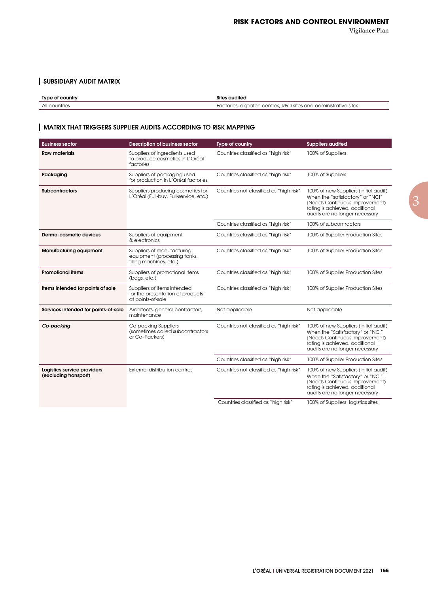# SUBSIDIARY AUDIT MATRIX

| Type of country | Sites audited                                                   |  |
|-----------------|-----------------------------------------------------------------|--|
| All countries   | Factories, dispatch centres, R&D sites and administrative sites |  |

# MATRIX THAT TRIGGERS SUPPLIER AUDITS ACCORDING TO RISK MAPPING

| <b>Business sector</b>                               | <b>Description of business sector</b>                                                 | Type of country                         | <b>Suppliers audited</b>                                                                                                                                                        |
|------------------------------------------------------|---------------------------------------------------------------------------------------|-----------------------------------------|---------------------------------------------------------------------------------------------------------------------------------------------------------------------------------|
| <b>Raw materials</b>                                 | Suppliers of ingredients used<br>to produce cosmetics in L'Oréal<br>factories         | Countries classified as "high risk"     | 100% of Suppliers                                                                                                                                                               |
| Packaging                                            | Suppliers of packaging used<br>for production in L'Oréal factories                    | Countries classified as "high risk"     | 100% of Suppliers                                                                                                                                                               |
| <b>Subcontractors</b>                                | Suppliers producing cosmetics for<br>L'Oréal (Full-buy, Full-service, etc.)           | Countries not classified as "high risk" | 100% of new Suppliers (initial audit)<br>When the "satisfactory" or "NCI"<br>(Needs Continuous Improvement)<br>rating is achieved, additional<br>audits are no longer necessary |
|                                                      |                                                                                       | Countries classified as "high risk"     | 100% of subcontractors                                                                                                                                                          |
| Dermo-cosmetic devices                               | Suppliers of equipment<br>& electronics                                               | Countries classified as "high risk"     | 100% of Supplier Production Sites                                                                                                                                               |
| <b>Manufacturing equipment</b>                       | Suppliers of manufacturing<br>equipment (processing tanks,<br>filling machines, etc.) | Countries classified as "high risk"     | 100% of Supplier Production Sites                                                                                                                                               |
| <b>Promotional items</b>                             | Suppliers of promotional items<br>(bags, etc.)                                        | Countries classified as "high risk"     | 100% of Supplier Production Sites                                                                                                                                               |
| Items intended for points of sale                    | Suppliers of items intended<br>for the presentation of products<br>at points-of-sale  | Countries classified as "high risk"     | 100% of Supplier Production Sites                                                                                                                                               |
| Services intended for points-of-sale                 | Architects, general contractors,<br>maintenance                                       | Not applicable                          | Not applicable                                                                                                                                                                  |
| Co-packing                                           | Co-packing Suppliers<br>(sometimes called subcontractors<br>or Co-Packers)            | Countries not classified as "high risk" | 100% of new Suppliers (initial audit)<br>When the "Satisfactory" or "NCI"<br>(Needs Continuous Improvement)<br>rating is achieved, additional<br>audits are no longer necessary |
|                                                      |                                                                                       | Countries classified as "high risk"     | 100% of Supplier Production Sites                                                                                                                                               |
| Logistics service providers<br>(excluding transport) | <b>External distribution centres</b>                                                  | Countries not classified as "high risk" | 100% of new Suppliers (initial audit)<br>When the "Satisfactory" or "NCI"<br>(Needs Continuous Improvement)<br>rating is achieved, additional<br>audits are no longer necessary |
|                                                      |                                                                                       | Countries classified as "high risk"     | 100% of Suppliers' logistics sites                                                                                                                                              |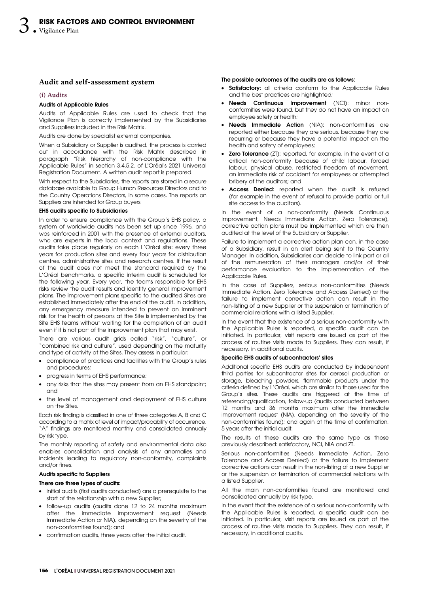#### **Audit and self-assessment system**

#### **(i) Audits**

#### Audits of Applicable Rules

Audits of Applicable Rules are used to check that the Vigilance Plan is correctly implemented by the Subsidiaries and Suppliers included in the Risk Matrix.

Audits are done by specialist external companies.

When a Subsidiary or Supplier is audited, the process is carried out in accordance with the Risk Matrix described in paragraph "Risk hierarchy of non-compliance with the Applicable Rules" in section 3.4.5.2. of L'Oréal's 2021 Universal Registration Document. A written audit report is prepared.

With respect to the Subsidiaries, the reports are stored in a secure database available to Group Human Resources Directors and to the Country Operations Directors, in some cases. The reports on Suppliers are intended for Group buyers.

#### EHS audits specific to Subsidiaries

In order to ensure compliance with the Group's EHS policy, a system of worldwide audits has been set up since 1996, and was reinforced in 2001 with the presence of external auditors, who are experts in the local context and regulations. These audits take place regularly on each L'Oréal site: every three years for production sites and every four years for distribution centres, administrative sites and research centres. If the result of the audit does not meet the standard required by the L'Oréal benchmarks, a specific interim audit is scheduled for the following year. Every year, the teams responsible for EHS risks review the audit results and identify general improvement plans. The improvement plans specific to the audited Sites are established immediately after the end of the audit. In addition, any emergency measure intended to prevent an imminent risk for the health of persons at the Site is implemented by the Site EHS teams without waiting for the completion of an audit even if it is not part of the improvement plan that may exist.

There are various audit grids called "risk", "culture", or "combined risk and culture", used depending on the maturity and type of activity at the Sites. They assess in particular:

- compliance of practices and facilities with the Group's rules and procedures;
- progress in terms of EHS performance;
- any risks that the sites may present from an EHS standpoint; and
- the level of management and deployment of EHS culture on the Sites.

Each risk finding is classified in one of three categories A, B and C according to a matrix of level of impact/probability of occurrence. "A" findings are monitored monthly and consolidated annually by risk type.

The monthly reporting of safety and environmental data also enables consolidation and analysis of any anomalies and incidents leading to regulatory non-conformity, complaints and/or fines.

#### Audits specific to Suppliers

#### There are three types of audits:

- initial audits (first audits conducted) are a prerequisite to the start of the relationship with a new Supplier;
- follow-up audits (audits done 12 to 24 months maximum after the immediate improvement request (Needs Immediate Action or NIA), depending on the severity of the non-conformities found); and
- confirmation audits, three years after the initial audit.

#### The possible outcomes of the audits are as follows:

- Satisfactory: all criteria conform to the Applicable Rules and the best practices are highlighted;
- Needs Continuous Improvement (NCI): minor nonconformities were found, but they do not have an impact on employee safety or health;
- Needs Immediate Action (NIA): non-conformities are reported either because they are serious, because they are recurring or because they have a potential impact on the health and safety of employees;
- Zero Tolerance (ZT): reported, for example, in the event of a critical non-conformity because of child labour, forced labour, physical abuse, restricted freedom of movement, an immediate risk of accident for employees or attempted bribery of the auditors; and
- Access Denied: reported when the audit is refused (for example in the event of refusal to provide partial or full site access to the auditors).

In the event of a non-conformity (Needs Continuous Improvement, Needs Immediate Action, Zero Tolerance), corrective action plans must be implemented which are then audited at the level of the Subsidiary or Supplier.

Failure to implement a corrective action plan can, in the case of a Subsidiary, result in an alert being sent to the Country Manager. In addition, Subsidiaries can decide to link part or all of the remuneration of their managers and/or of their performance evaluation to the implementation of the Applicable Rules.

In the case of Suppliers, serious non-conformities (Needs Immediate Action, Zero Tolerance and Access Denied) or the failure to implement corrective action can result in the non‑listing of a new Supplier or the suspension or termination of commercial relations with a listed Supplier.

In the event that the existence of a serious non-conformity with the Applicable Rules is reported, a specific audit can be initiated. In particular, visit reports are issued as part of the process of routine visits made to Suppliers. They can result, if necessary, in additional audits.

#### Specific EHS audits of subcontractors' sites

Additional specific EHS audits are conducted by independent third parties for subcontractor sites for aerosol production or storage, bleaching powders, flammable products under the criteria defined by L'Oréal, which are similar to those used for the Group's sites. These audits are triggered at the time of referencing/qualification, follow-up (audits conducted between 12 months and 36 months maximum after the immediate improvement request (NIA), depending on the severity of the non-conformities found); and again at the time of confirmation, 5 years after the initial audit.

The results of these audits are the same type as those previously described: satisfactory, NCI, NIA and ZT.

Serious non-conformities (Needs Immediate Action, Zero Tolerance and Access Denied) or the failure to implement corrective actions can result in the non-listing of a new Supplier or the suspension or termination of commercial relations with a listed Supplier.

All the main non-conformities found are monitored and consolidated annually by risk type.

In the event that the existence of a serious non-conformity with the Applicable Rules is reported, a specific audit can be initiated. In particular, visit reports are issued as part of the process of routine visits made to Suppliers. They can result, if necessary, in additional audits.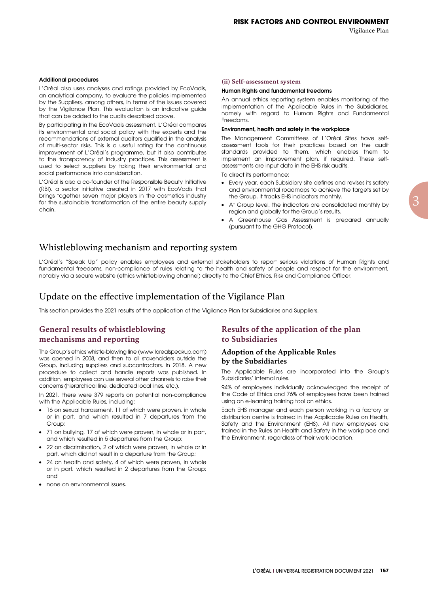#### Additional procedures

L'Oréal also uses analyses and ratings provided by EcoVadis, an analytical company, to evaluate the policies implemented by the Suppliers, among others, in terms of the issues covered by the Vigilance Plan. This evaluation is an indicative guide that can be added to the audits described above.

By participating in the EcoVadis assessment, L'Oréal compares its environmental and social policy with the experts and the recommendations of external auditors qualified in the analysis of multi-sector risks. This is a useful rating for the continuous improvement of L'Oréal's programme, but it also contributes to the transparency of industry practices. This assessment is used to select suppliers by taking their environmental and social performance into consideration.

L'Oréal is also a co-founder of the Responsible Beauty Initiative (RBI), a sector initiative created in 2017 with EcoVadis that brings together seven major players in the cosmetics industry for the sustainable transformation of the entire beauty supply chain.

#### **(ii) Self-assessment system**

#### Human Rights and fundamental freedoms

An annual ethics reporting system enables monitoring of the implementation of the Applicable Rules in the Subsidiaries, namely with regard to Human Rights and Fundamental Freedoms.

#### Environment, health and safety in the workplace

The Management Committees of L'Oréal Sites have selfassessment tools for their practices based on the audit standards provided to them, which enables them to implement an improvement plan, if required. These selfassessments are input data in the EHS risk audits.

To direct its performance:

- Every year, each Subsidiary site defines and revises its safety and environmental roadmaps to achieve the targets set by the Group. It tracks EHS indicators monthly.
- At Group level, the indicators are consolidated monthly by region and globally for the Group's results.
- A Greenhouse Gas Assessment is prepared annually (pursuant to the GHG Protocol).

# Whistleblowing mechanism and reporting system

L'Oréal's "Speak Up" policy enables employees and external stakeholders to report serious violations of Human Rights and fundamental freedoms, non-compliance of rules relating to the health and safety of people and respect for the environment, notably via a secure website (ethics whistleblowing channel) directly to the Chief Ethics, Risk and Compliance Officer.

# Update on the effective implementation of the Vigilance Plan

This section provides the 2021 results of the application of the Vigilance Plan for Subsidiaries and Suppliers.

# **General results of whistleblowing mechanisms and reporting**

The Group's ethics whistle-blowing line (www.lorealspeakup.com) was opened in 2008, and then to all stakeholders outside the Group, including suppliers and subcontractors, in 2018. A new procedure to collect and handle reports was published. In addition, employees can use several other channels to raise their concerns (hierarchical line, dedicated local lines, etc.).

In 2021, there were 379 reports on potential non-compliance with the Applicable Rules, including:

- 16 on sexual harassment, 11 of which were proven, in whole or in part, and which resulted in 7 departures from the Group;
- 71 on bullying, 17 of which were proven, in whole or in part, and which resulted in 5 departures from the Group;
- 22 on discrimination, 2 of which were proven, in whole or in part, which did not result in a departure from the Group;
- 24 on health and safety, 4 of which were proven, in whole or in part, which resulted in 2 departures from the Group; and
- none on environmental issues.

# **Results of the application of the plan to Subsidiaries**

#### **Adoption of the Applicable Rules by the Subsidiaries**

The Applicable Rules are incorporated into the Group's Subsidiaries' internal rules.

94% of employees individually acknowledged the receipt of the Code of Ethics and 76% of employees have been trained using an e-learning training tool on ethics.

Each EHS manager and each person working in a factory or distribution centre is trained in the Applicable Rules on Health, Safety and the Environment (EHS). All new employees are trained in the Rules on Health and Safety in the workplace and the Environment, regardless of their work location.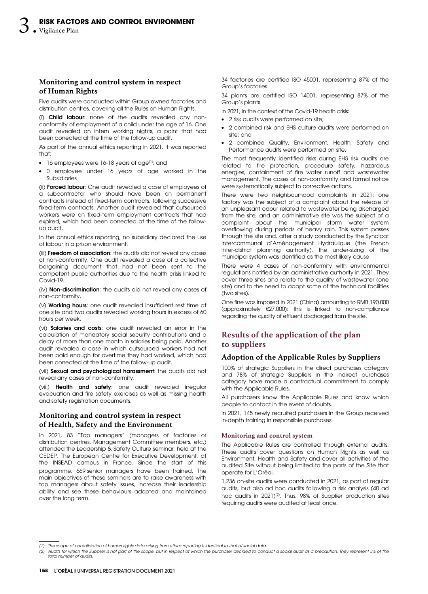# **Monitoring and control system in respect of Human Rights**

Five audits were conducted within Group owned factories and distribution centres, covering all the Rules on Human Rights.

(i) Child labour: none of the audits revealed any nonconformity of employment of a child under the age of 16. One audit revealed an intern working nights, a point that had been corrected at the time of the follow-up audit.

As part of the annual ethics reporting in 2021, it was reported that:

- 16 employees were 16-18 years of age<sup>(1)</sup>; and
- 0 employee under 16 years of age worked in the Subsidiaries

(ii) Forced labour: One audit revealed a case of employees of a subcontractor who should have been on permanent contracts instead of fixed-term contracts, following successive fixed-term contracts. Another audit revealed that outsourced workers were on fixed-term employment contracts that had expired, which had been corrected at the time of the followup audit.

In the annual ethics reporting, no subsidiary declared the use of labour in a prison environment.

(iii) **Freedom of association**: the audits did not reveal any cases of non-conformity. One audit revealed a case of a collective bargaining document that had not been sent to the competent public authorities due to the health crisis linked to Covid-19.

(iv) Non-discrimination: the audits did not reveal any cases of non-conformity.

(v) Working hours: one audit revealed insufficient rest time at one site and two audits revealed working hours in excess of 60 hours per week.

(vi) Salaries and costs: one audit revealed an error in the calculation of mandatory social security contributions and a delay of more than one month in salaries being paid. Another audit revealed a case in which outsourced workers had not been paid enough for overtime they had worked, which had been corrected at the time of the follow-up audit.

(vii) Sexual and psychological harassment: the audits did not reveal any cases of non-conformity.

(viii) Health and safety: one audit revealed irregular evacuation and fire safety exercises as well as missing health and safety registration documents.

# **Monitoring and control system in respect of Health, Safety and the Environment**

In 2021, 83 "Top managers" (managers of factories or distribution centres, Management Committee members, etc.) attended the Leadership & Safety Culture seminar, held at the CEDEP, The European Centre for Executive Development, at the INSEAD campus in France. Since the start of this programme, 669 senior managers have been trained. The main objectives of these seminars are to raise awareness with top managers about safety issues, increase their leadership ability and see these behaviours adopted and maintained over the long term.

34 factories are certified ISO 45001, representing 87% of the Group's factories.

34 plants are certified ISO 14001, representing 87% of the Group's plants.

In 2021, in the context of the Covid-19 health crisis:

- 2 risk audits were performed on site;
- 2 combined risk and EHS culture audits were performed on site; and
- 2 combined Quality, Environment, Health, Safety and Performance audits were performed on site.

The most frequently identified risks during EHS risk audits are related to fire protection, procedure safety, hazardous energies, containment of fire water runoff and wastewater management. The cases of non-conformity and formal notice were systematically subject to corrective actions.

There were two neighbourhood complaints in 2021: one factory was the subject of a complaint about the release of an unpleasant odour related to wastewater being discharged from the site, and an administrative site was the subject of a complaint about the municipal storm water system overflowing during periods of heavy rain. This system passes through the site and, after a study conducted by the Syndicat Intercommunal d'Aménagement Hydraulique (the French inter-district planning authority), the under-sizing of the municipal system was identified as the most likely cause.

There were 4 cases of non-conformity with environmental regulations notified by an administrative authority in 2021. They cover three sites and relate to the quality of wastewater (one site) and to the need to adapt some of the technical facilities (two sites).

One fine was imposed in 2021 (China) amounting to RMB 190,000 (approximately  $E$ 27,000): this is linked to non-compliance regarding the quality of effluent discharged from the site.

# **Results of the application of the plan to suppliers**

# **Adoption of the Applicable Rules by Suppliers**

100% of strategic Suppliers in the direct purchases category and 78% of strategic Suppliers in the indirect purchases category have made a contractual commitment to comply with the Applicable Rules.

All purchasers know the Applicable Rules and know which people to contact in the event of doubts.

In 2021, 145 newly recruited purchasers in the Group received in-depth training in responsible purchases.

#### **Monitoring and control system**

The Applicable Rules are controlled through external audits. These audits cover questions on Human Rights as well as Environment, Health and Safety and cover all activities of the audited Site without being limited to the parts of the Site that operate for L'Oréal.

1,236 on-site audits were conducted in 2021, as part of regular audits, but also ad hoc audits following a risk analysis (40 ad hoc audits in 2021) $^\mathrm{(2)}$ . Thus, 98% of Supplier production sites requiring audits were audited at least once.

<sup>(1)</sup> The scope of consolidation of human rights data arising from ethics reporting is identical to that of social data.

<sup>(2)</sup> Audits for which the Supplier is not part of the scope, but in respect of which the purchaser decided to conduct a social audit as a precaution. They represent 3% of the total number of audits.